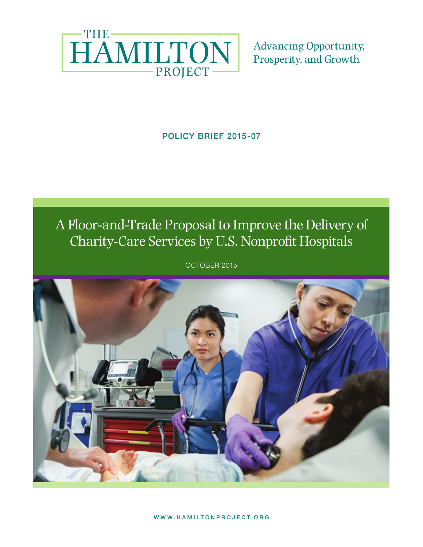

**Advancing Opportunity,** Prosperity, and Growth

## POLICY BRIEF 2015-07

# A Floor-and-Trade Proposal to Improve the Delivery of Charity-Care Services by U.S. Nonprofit Hospitals

**POLICY BRITTER 2015** 

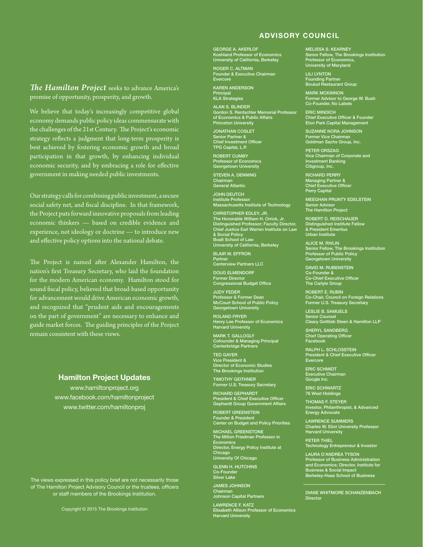#### ADVISORY COUNCIL

*The Hamilton Project* seeks to advance America's promise of opportunity, prosperity, and growth.

We believe that today's increasingly competitive global economy demands public policy ideas commensurate with the challenges of the 21st Century. The Project's economic strategy reflects a judgment that long-term prosperity is best achieved by fostering economic growth and broad participation in that growth, by enhancing individual economic security, and by embracing a role for effective government in making needed public investments.

Our strategy calls for combining public investment, a secure social safety net, and fiscal discipline. In that framework, the Project puts forward innovative proposals from leading economic thinkers — based on credible evidence and experience, not ideology or doctrine — to introduce new and effective policy options into the national debate.

The Project is named after Alexander Hamilton, the nation's first Treasury Secretary, who laid the foundation for the modern American economy. Hamilton stood for sound fiscal policy, believed that broad-based opportunity for advancement would drive American economic growth, and recognized that "prudent aids and encouragements on the part of government" are necessary to enhance and guide market forces. The guiding principles of the Project remain consistent with these views.

#### Hamilton Project Updates

www.hamiltonproject.org www.facebook.com/hamiltonproject www.twitter.com/hamiltonproj

The views expressed in this policy brief are not necessarily those The views expressed in this policy brief are not necessarily those of The Hamilton Project Advisory Council or the trustees, officers of The Hamilton Project Advisory Council or the trustees, officers or staff members of the Brookings Institution. or staff members of the Brookings Institution.

GEORGE A. AKERLOF Koshland Professor of Economics University of California, Berkeley

ROGER C. ALTMAN Founder & Executive Chairman Evercore

KAREN ANDERSON Principal KLA Strategies

ALAN S. BLINDER Gordon S. Rentschler Memorial Professor of Economics & Public Affairs Princeton University

JONATHAN COSLET Senior Partner & Chief Investment Officer TPG Capital, L.P.

ROBERT CUMBY Professor of Economics Georgetown University

STEVEN A. DENNING Chairman General Atlantic

JOHN DEUTCH Institute Professor Massachusetts Institute of Technology

CHRISTOPHER EDLEY, JR. The Honorable William H. Orrick, Jr. Distinguished Professor; Faculty Director, Chief Justice Earl Warren Institute on Law & Social Policy Boalt School of Law University of California, Berkeley

BLAIR W. EFFRON Partner Centerview Partners LLC

DOUG ELMENDORF Former Director Congressional Budget Office

JUDY FEDER Professor & Former Dean McCourt School of Public Policy Georgetown University

ROLAND FRYER Henry Lee Professor of Economics Harvard University

MARK T. GALLOGLY Cofounder & Managing Principal Centerbridge Partners

TED GAYER Vice President & Director of Economic Studies The Brookings Institution

TIMOTHY GEITHNER Former U.S. Treasury Secretary

RICHARD GEPHARDT President & Chief Executive Officer Gephardt Group Government Affairs

ROBERT GREENSTEIN Founder & President Center on Budget and Policy Priorities

MICHAEL GREENSTONE The Milton Friedman Professor in Economics Director, Energy Policy Institute at Chicago University Of Chicago

GLENN H. HUTCHINS Co-Founder Silver Lake

JAMES JOHNSON Chairman Johnson Capital Partners

LAWRENCE F. KATZ Elisabeth Allison Professor of Economics Harvard University MELISSA S. KEARNEY Senior Fellow, The Brookings Institution Professor of Economics, University of Maryland

LILI LYNTON Founding Partner Boulud Restaurant Group

**MARK MCKINNON** Former Advisor to George W. Bush Co-Founder, No Labels

ERIC MINDICH Chief Executive Officer & Founder Eton Park Capital Management

SUZANNE NORA JOHNSON Former Vice Chairman Goldman Sachs Group, Inc.

PETER ORSZAG Vice Chairman of Corporate and Investment Banking Citigroup, Inc.

RICHARD PERRY Managing Partner & Chief Executive Officer Perry Capital

MEEGHAN PRUNTY EDELSTEIN Senior Advisor The Hamilton Project

ROBERT D. REISCHAUER Distinguished Institute Fellow & President Emeritus Urban Institute

ALICE M. RIVLIN Senior Fellow, The Brookings Institution Professor of Public Policy Georgetown University

DAVID M. RUBENSTEIN Co-Founder & Co-Chief Executive Officer The Carlyle Group

**ERT E. RUBIN** Co-Chair, Council on Foreign Relations Former U.S. Treasury Secretary

LESLIE B. SAMUELS Senior Counsel Cleary Gottlieb Steen & Hamilton LLP

SHERYL SANDBERG Chief Operating Officer Facebook

RALPH L. SCHLOSSTEIN President & Chief Executive Officer Evercore

ERIC SCHMIDT Executive Chairman Google Inc.

ERIC SCHWARTZ 76 West Holdings

THOMAS F. STEYER Investor, Philanthropist, & Advanced Energy Advocate

LAWRENCE SUMMERS Charles W. Eliot University Professor Charles W. Ellot Ur<br>Harvard University

PETER THIEL Technology Entrepreneur & Investor

LAURA D'ANDREA TYSON Professor of Business Administration and Economics; Director, Institute for Business & Social Impact Berkeley-Haas School of Business

DIANE WHITMORE SCHANZENBACH Director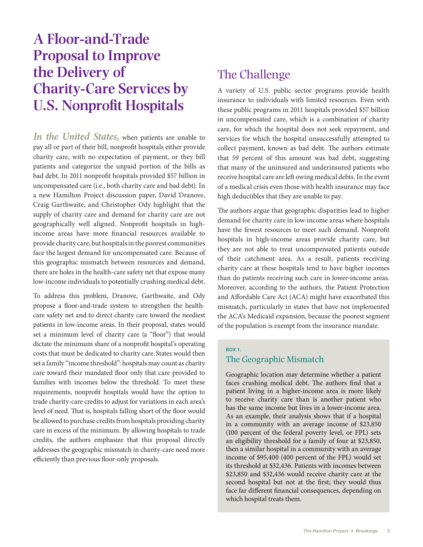# **A Floor-and-Trade Proposal to Improve the Delivery of Charity-Care Services by U.S. Nonprofit Hospitals**

*In the United States,* when patients are unable to pay all or part of their bill, nonprofit hospitals either provide charity care, with no expectation of payment, or they bill patients and categorize the unpaid portion of the bills as bad debt. In 2011 nonprofit hospitals provided \$57 billion in uncompensated care (i.e., both charity care and bad debt). In a new Hamilton Project discussion paper, David Dranove, Craig Garthwaite, and Christopher Ody highlight that the supply of charity care and demand for charity care are not geographically well aligned. Nonprofit hospitals in highincome areas have more financial resources available to provide charity care, but hospitals in the poorest communities face the largest demand for uncompensated care. Because of this geographic mismatch between resources and demand, there are holes in the health-care safety net that expose many low-income individuals to potentially crushing medical debt.

To address this problem, Dranove, Garthwaite, and Ody propose a floor-and-trade system to strengthen the healthcare safety net and to direct charity care toward the neediest patients in low-income areas. In their proposal, states would set a minimum level of charity care (a "floor") that would dictate the minimum share of a nonprofit hospital's operating costs that must be dedicated to charity care. States would then set a family "income threshold": hospitals may count as charity care toward their mandated floor only that care provided to families with incomes below the threshold. To meet these requirements, nonprofit hospitals would have the option to trade charity-care credits to adjust for variations in each area's level of need. That is, hospitals falling short of the floor would be allowed to purchase credits from hospitals providing charity care in excess of the minimum. By allowing hospitals to trade credits, the authors emphasize that this proposal directly addresses the geographic mismatch in charity-care need more efficiently than previous floor-only proposals.

# The Challenge

A variety of U.S. public sector programs provide health insurance to individuals with limited resources. Even with these public programs in 2011 hospitals provided \$57 billion in uncompensated care, which is a combination of charity care, for which the hospital does not seek repayment, and services for which the hospital unsuccessfully attempted to collect payment, known as bad debt. The authors estimate that 59 percent of this amount was bad debt, suggesting that many of the uninsured and underinsured patients who receive hospital care are left owing medical debts. In the event of a medical crisis even those with health insurance may face high deductibles that they are unable to pay.

The authors argue that geographic disparities lead to higher demand for charity care in low-income areas where hospitals have the fewest resources to meet such demand. Nonprofit hospitals in high-income areas provide charity care, but they are not able to treat uncompensated patients outside of their catchment area. As a result, patients receiving charity care at these hospitals tend to have higher incomes than do patients receiving such care in lower-income areas. Moreover, according to the authors, the Patient Protection and Affordable Care Act (ACA) might have exacerbated this mismatch, particularly in states that have not implemented the ACA's Medicaid expansion, because the poorest segment of the population is exempt from the insurance mandate.

#### BOX 1.

#### The Geographic Mismatch

Geographic location may determine whether a patient faces crushing medical debt. The authors find that a patient living in a higher-income area is more likely to receive charity care than is another patient who has the same income but lives in a lower-income area. As an example, their analysis shows that if a hospital in a community with an average income of \$23,850 (100 percent of the federal poverty level, or FPL) sets an eligibility threshold for a family of four at \$23,850, then a similar hospital in a community with an average income of \$95,400 (400 percent of the FPL) would set its threshold at \$32,436. Patients with incomes between \$23,850 and \$32,436 would receive charity care at the second hospital but not at the first; they would thus face far different financial consequences, depending on which hospital treats them.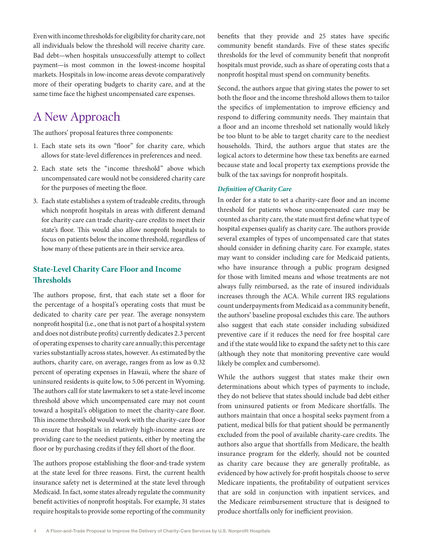Even with income thresholds for eligibility for charity care, not all individuals below the threshold will receive charity care. Bad debt—when hospitals unsuccessfully attempt to collect payment—is most common in the lowest-income hospital markets. Hospitals in low-income areas devote comparatively more of their operating budgets to charity care, and at the same time face the highest uncompensated care expenses.

# A New Approach

The authors' proposal features three components:

- 1. Each state sets its own "floor" for charity care, which allows for state-level differences in preferences and need.
- 2. Each state sets the "income threshold" above which uncompensated care would not be considered charity care for the purposes of meeting the floor.
- 3. Each state establishes a system of tradeable credits, through which nonprofit hospitals in areas with different demand for charity care can trade charity-care credits to meet their state's floor. This would also allow nonprofit hospitals to focus on patients below the income threshold, regardless of how many of these patients are in their service area.

### **State-Level Charity Care Floor and Income Thresholds**

The authors propose, first, that each state set a floor for the percentage of a hospital's operating costs that must be dedicated to charity care per year. The average nonsystem nonprofit hospital (i.e., one that is not part of a hospital system and does not distribute profits) currently dedicates 2.3 percent of operating expenses to charity care annually; this percentage varies substantially across states, however. As estimated by the authors, charity care, on average, ranges from as low as 0.32 percent of operating expenses in Hawaii, where the share of uninsured residents is quite low, to 5.06 percent in Wyoming. The authors call for state lawmakers to set a state-level income threshold above which uncompensated care may not count toward a hospital's obligation to meet the charity-care floor. This income threshold would work with the charity-care floor to ensure that hospitals in relatively high-income areas are providing care to the neediest patients, either by meeting the floor or by purchasing credits if they fell short of the floor.

The authors propose establishing the floor-and-trade system at the state level for three reasons. First, the current health insurance safety net is determined at the state level through Medicaid. In fact, some states already regulate the community benefit activities of nonprofit hospitals. For example, 31 states require hospitals to provide some reporting of the community

benefits that they provide and 25 states have specific community benefit standards. Five of these states specific thresholds for the level of community benefit that nonprofit hospitals must provide, such as share of operating costs that a nonprofit hospital must spend on community benefits.

Second, the authors argue that giving states the power to set both the floor and the income threshold allows them to tailor the specifics of implementation to improve efficiency and respond to differing community needs. They maintain that a floor and an income threshold set nationally would likely be too blunt to be able to target charity care to the neediest households. Third, the authors argue that states are the logical actors to determine how these tax benefits are earned because state and local property tax exemptions provide the bulk of the tax savings for nonprofit hospitals.

#### *Definition of Charity Care*

In order for a state to set a charity-care floor and an income threshold for patients whose uncompensated care may be counted as charity care, the state must first define what type of hospital expenses qualify as charity care. The authors provide several examples of types of uncompensated care that states should consider in defining charity care. For example, states may want to consider including care for Medicaid patients, who have insurance through a public program designed for those with limited means and whose treatments are not always fully reimbursed, as the rate of insured individuals increases through the ACA. While current IRS regulations count underpayments from Medicaid as a community benefit, the authors' baseline proposal excludes this care. The authors also suggest that each state consider including subsidized preventive care if it reduces the need for free hospital care and if the state would like to expand the safety net to this care (although they note that monitoring preventive care would likely be complex and cumbersome).

While the authors suggest that states make their own determinations about which types of payments to include, they do not believe that states should include bad debt either from uninsured patients or from Medicare shortfalls. The authors maintain that once a hospital seeks payment from a patient, medical bills for that patient should be permanently excluded from the pool of available charity-care credits. The authors also argue that shortfalls from Medicare, the health insurance program for the elderly, should not be counted as charity care because they are generally profitable, as evidenced by how actively for-profit hospitals choose to serve Medicare inpatients, the profitability of outpatient services that are sold in conjunction with inpatient services, and the Medicare reimbursement structure that is designed to produce shortfalls only for inefficient provision.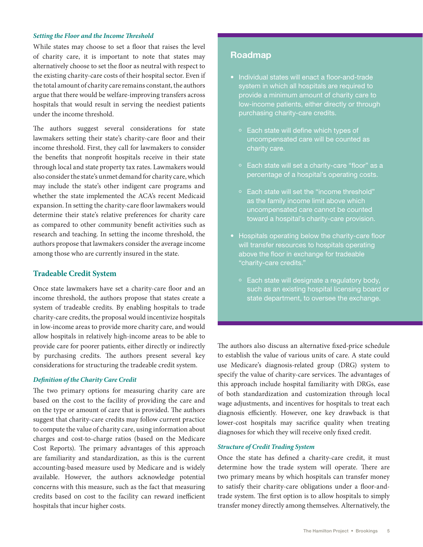#### *Setting the Floor and the Income Threshold*

While states may choose to set a floor that raises the level of charity care, it is important to note that states may alternatively choose to set the floor as neutral with respect to the existing charity-care costs of their hospital sector. Even if the total amount of charity care remains constant, the authors argue that there would be welfare-improving transfers across hospitals that would result in serving the neediest patients under the income threshold.

The authors suggest several considerations for state lawmakers setting their state's charity-care floor and their income threshold. First, they call for lawmakers to consider the benefits that nonprofit hospitals receive in their state through local and state property tax rates. Lawmakers would also consider the state's unmet demand for charity care, which may include the state's other indigent care programs and whether the state implemented the ACA's recent Medicaid expansion. In setting the charity-care floor lawmakers would determine their state's relative preferences for charity care as compared to other community benefit activities such as research and teaching. In setting the income threshold, the authors propose that lawmakers consider the average income among those who are currently insured in the state.

#### **Tradeable Credit System**

Once state lawmakers have set a charity-care floor and an income threshold, the authors propose that states create a system of tradeable credits. By enabling hospitals to trade charity-care credits, the proposal would incentivize hospitals in low-income areas to provide more charity care, and would allow hospitals in relatively high-income areas to be able to provide care for poorer patients, either directly or indirectly by purchasing credits. The authors present several key considerations for structuring the tradeable credit system.

#### *Definition of the Charity Care Credit*

The two primary options for measuring charity care are based on the cost to the facility of providing the care and on the type or amount of care that is provided. The authors suggest that charity-care credits may follow current practice to compute the value of charity care, using information about charges and cost-to-charge ratios (based on the Medicare Cost Reports). The primary advantages of this approach are familiarity and standardization, as this is the current accounting-based measure used by Medicare and is widely available. However, the authors acknowledge potential concerns with this measure, such as the fact that measuring credits based on cost to the facility can reward inefficient hospitals that incur higher costs.

#### Roadmap

- Individual states will enact a floor-and-trade system in which all hospitals are required to provide a minimum amount of charity care to low-income patients, either directly or through purchasing charity-care credits.
	- Each state will define which types of uncompensated care will be counted as
	- Each state will set a charity-care "floor" as a percentage of a hospital's operating costs.
	- Each state will set the "income threshold" as the family income limit above which uncompensated care cannot be counted toward a hospital's charity-care provision.
- Hospitals operating below the charity-care floor will transfer resources to hospitals operating above the floor in exchange for tradeable "charity-care credits."
	- Each state will designate a regulatory body, such as an existing hospital licensing board or state department, to oversee the exchange.

The authors also discuss an alternative fixed-price schedule to establish the value of various units of care. A state could use Medicare's diagnosis-related group (DRG) system to specify the value of charity-care services. The advantages of this approach include hospital familiarity with DRGs, ease of both standardization and customization through local wage adjustments, and incentives for hospitals to treat each diagnosis efficiently. However, one key drawback is that lower-cost hospitals may sacrifice quality when treating diagnoses for which they will receive only fixed credit.

#### *Structure of Credit Trading System*

Once the state has defined a charity-care credit, it must determine how the trade system will operate. There are two primary means by which hospitals can transfer money to satisfy their charity-care obligations under a floor-andtrade system. The first option is to allow hospitals to simply transfer money directly among themselves. Alternatively, the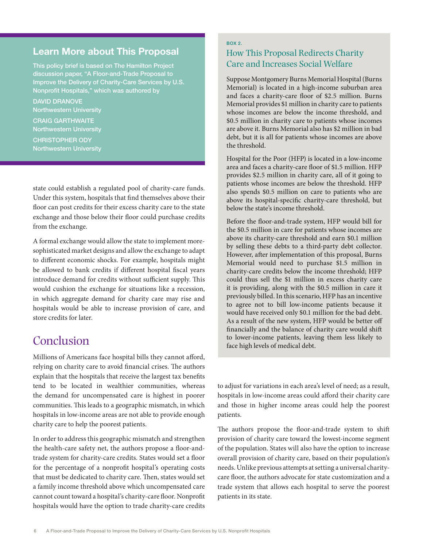### Learn More about This Proposal

This policy brief is based on The Hamilton Project discussion paper, "A Floor-and-Trade Proposal to Improve the Delivery of Charity-Care Services by U.S. Nonprofit Hospitals," which was authored by

DAVID DRANOVE Northwestern University

CRAIG GARTHWAITE Northwestern University CHRISTOPHER ODY Northwestern University

state could establish a regulated pool of charity-care funds. Under this system, hospitals that find themselves above their floor can post credits for their excess charity care to the state exchange and those below their floor could purchase credits from the exchange.

A formal exchange would allow the state to implement moresophisticated market designs and allow the exchange to adapt to different economic shocks. For example, hospitals might be allowed to bank credits if different hospital fiscal years introduce demand for credits without sufficient supply. This would cushion the exchange for situations like a recession, in which aggregate demand for charity care may rise and hospitals would be able to increase provision of care, and store credits for later.

# Conclusion

Millions of Americans face hospital bills they cannot afford, relying on charity care to avoid financial crises. The authors explain that the hospitals that receive the largest tax benefits tend to be located in wealthier communities, whereas the demand for uncompensated care is highest in poorer communities. This leads to a geographic mismatch, in which hospitals in low-income areas are not able to provide enough charity care to help the poorest patients.

In order to address this geographic mismatch and strengthen the health-care safety net, the authors propose a floor-andtrade system for charity-care credits. States would set a floor for the percentage of a nonprofit hospital's operating costs that must be dedicated to charity care. Then, states would set a family income threshold above which uncompensated care cannot count toward a hospital's charity-care floor. Nonprofit hospitals would have the option to trade charity-care credits

### BOX 2. How This Proposal Redirects Charity Care and Increases Social Welfare

Suppose Montgomery Burns Memorial Hospital (Burns Memorial) is located in a high-income suburban area and faces a charity-care floor of \$2.5 million. Burns Memorial provides \$1 million in charity care to patients whose incomes are below the income threshold, and \$0.5 million in charity care to patients whose incomes are above it. Burns Memorial also has \$2 million in bad debt, but it is all for patients whose incomes are above the threshold.

Hospital for the Poor (HFP) is located in a low-income area and faces a charity-care floor of \$1.5 million. HFP provides \$2.5 million in charity care, all of it going to patients whose incomes are below the threshold. HFP also spends \$0.5 million on care to patients who are above its hospital-specific charity-care threshold, but below the state's income threshold.

Before the floor-and-trade system, HFP would bill for the \$0.5 million in care for patients whose incomes are above its charity-care threshold and earn \$0.1 million by selling these debts to a third-party debt collector. However, after implementation of this proposal, Burns Memorial would need to purchase \$1.5 million in charity-care credits below the income threshold; HFP could thus sell the \$1 million in excess charity care it is providing, along with the \$0.5 million in care it previously billed. In this scenario, HFP has an incentive to agree not to bill low-income patients because it would have received only \$0.1 million for the bad debt. As a result of the new system, HFP would be better off financially and the balance of charity care would shift to lower-income patients, leaving them less likely to face high levels of medical debt.

to adjust for variations in each area's level of need; as a result, hospitals in low-income areas could afford their charity care and those in higher income areas could help the poorest patients.

The authors propose the floor-and-trade system to shift provision of charity care toward the lowest-income segment of the population. States will also have the option to increase overall provision of charity care, based on their population's needs. Unlike previous attempts at setting a universal charitycare floor, the authors advocate for state customization and a trade system that allows each hospital to serve the poorest patients in its state.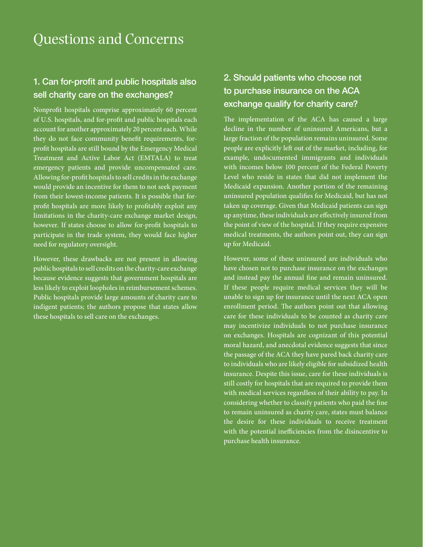# Questions and Concerns

## 1. Can for-profit and public hospitals also sell charity care on the exchanges?

Nonprofit hospitals comprise approximately 60 percent of U.S. hospitals, and for-profit and public hospitals each account for another approximately 20 percent each. While they do not face community benefit requirements, forprofit hospitals are still bound by the Emergency Medical Treatment and Active Labor Act (EMTALA) to treat emergency patients and provide uncompensated care. Allowing for-profit hospitals to sell credits in the exchange would provide an incentive for them to not seek payment from their lowest-income patients. It is possible that forprofit hospitals are more likely to profitably exploit any limitations in the charity-care exchange market design, however. If states choose to allow for-profit hospitals to participate in the trade system, they would face higher need for regulatory oversight.

However, these drawbacks are not present in allowing public hospitals to sell credits on the charity-care exchange because evidence suggests that government hospitals are less likely to exploit loopholes in reimbursement schemes. Public hospitals provide large amounts of charity care to indigent patients; the authors propose that states allow these hospitals to sell care on the exchanges.

# 2. Should patients who choose not to purchase insurance on the ACA exchange qualify for charity care?

The implementation of the ACA has caused a large decline in the number of uninsured Americans, but a large fraction of the population remains uninsured. Some people are explicitly left out of the market, including, for example, undocumented immigrants and individuals with incomes below 100 percent of the Federal Poverty Level who reside in states that did not implement the Medicaid expansion. Another portion of the remaining uninsured population qualifies for Medicaid, but has not taken up coverage. Given that Medicaid patients can sign up anytime, these individuals are effectively insured from the point of view of the hospital. If they require expensive medical treatments, the authors point out, they can sign up for Medicaid.

However, some of these uninsured are individuals who have chosen not to purchase insurance on the exchanges and instead pay the annual fine and remain uninsured. If these people require medical services they will be unable to sign up for insurance until the next ACA open enrollment period. The authors point out that allowing care for these individuals to be counted as charity care may incentivize individuals to not purchase insurance on exchanges. Hospitals are cognizant of this potential moral hazard, and anecdotal evidence suggests that since the passage of the ACA they have pared back charity care to individuals who are likely eligible for subsidized health insurance. Despite this issue, care for these individuals is still costly for hospitals that are required to provide them with medical services regardless of their ability to pay. In considering whether to classify patients who paid the fine to remain uninsured as charity care, states must balance the desire for these individuals to receive treatment with the potential inefficiencies from the disincentive to purchase health insurance.